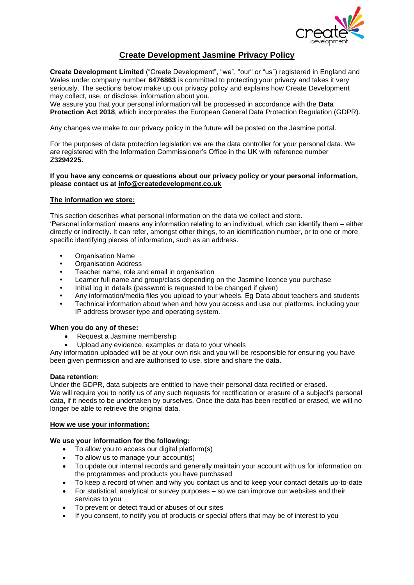

# **Create Development Jasmine Privacy Policy**

**Create Development Limited** ("Create Development", "we", "our" or "us") registered in England and Wales under company number **6476863** is committed to protecting your privacy and takes it very seriously. The sections below make up our privacy policy and explains how Create Development may collect, use, or disclose, information about you.

We assure you that your personal information will be processed in accordance with the **Data Protection Act 2018**, which incorporates the European General Data Protection Regulation (GDPR).

Any changes we make to our privacy policy in the future will be posted on the Jasmine portal.

For the purposes of data protection legislation we are the data controller for your personal data. We are registered with the Information Commissioner's Office in the UK with reference number **Z3294225.**

### **If you have any concerns or questions about our privacy policy or your personal information, please contact us at [info@createdevelopment.co.uk](mailto:info@createdevelopment.co.uk)**

# **The information we store:**

This section describes what personal information on the data we collect and store.

'Personal information' means any information relating to an individual, which can identify them – either directly or indirectly. It can refer, amongst other things, to an identification number, or to one or more specific identifying pieces of information, such as an address.

- **•** Organisation Name
- **•** Organisation Address
- **•** Teacher name, role and email in organisation
- **•** Learner full name and group/class depending on the Jasmine licence you purchase
- **•** Initial log in details (password is requested to be changed if given)
- **•** Any information/media files you upload to your wheels. Eg Data about teachers and students
- **•** Technical information about when and how you access and use our platforms, including your IP address browser type and operating system.

#### **When you do any of these:**

- Request a Jasmine membership
- Upload any evidence, examples or data to your wheels

Any information uploaded will be at your own risk and you will be responsible for ensuring you have been given permission and are authorised to use, store and share the data.

#### **Data retention:**

Under the GDPR, data subjects are entitled to have their personal data rectified or erased.

We will require you to notify us of any such requests for rectification or erasure of a subject's personal data, if it needs to be undertaken by ourselves. Once the data has been rectified or erased, we will no longer be able to retrieve the original data.

# **How we use your information:**

#### **We use your information for the following:**

- To allow you to access our digital platform(s)
- To allow us to manage your account(s)
- To update our internal records and generally maintain your account with us for information on the programmes and products you have purchased
- To keep a record of when and why you contact us and to keep your contact details up-to-date
- For statistical, analytical or survey purposes so we can improve our websites and their services to you
- To prevent or detect fraud or abuses of our sites
- If you consent, to notify you of products or special offers that may be of interest to you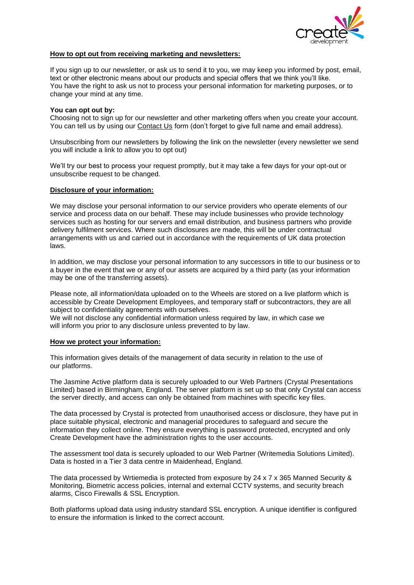

### **How to opt out from receiving marketing and newsletters:**

If you sign up to our newsletter, or ask us to send it to you, we may keep you informed by post, email, text or other electronic means about our products and special offers that we think you'll like. You have the right to ask us not to process your personal information for marketing purposes, or to change your mind at any time.

### **You can opt out by:**

Choosing not to sign up for our newsletter and other marketing offers when you create your account. You can tell us by using our [Contact Us](https://www.createdevelopment.co.uk/contact/) form (don't forget to give full name and email address).

Unsubscribing from our newsletters by following the link on the newsletter (every newsletter we send you will include a link to allow you to opt out)

We'll try our best to process your request promptly, but it may take a few days for your opt-out or unsubscribe request to be changed.

### **Disclosure of your information:**

We may disclose your personal information to our service providers who operate elements of our service and process data on our behalf. These may include businesses who provide technology services such as hosting for our servers and email distribution, and business partners who provide delivery fulfilment services. Where such disclosures are made, this will be under contractual arrangements with us and carried out in accordance with the requirements of UK data protection laws.

In addition, we may disclose your personal information to any successors in title to our business or to a buyer in the event that we or any of our assets are acquired by a third party (as your information may be one of the transferring assets).

Please note, all information/data uploaded on to the Wheels are stored on a live platform which is accessible by Create Development Employees, and temporary staff or subcontractors, they are all subject to confidentiality agreements with ourselves.

We will not disclose any confidential information unless required by law, in which case we will inform you prior to any disclosure unless prevented to by law.

#### **How we protect your information:**

This information gives details of the management of data security in relation to the use of our platforms.

The Jasmine Active platform data is securely uploaded to our Web Partners (Crystal Presentations Limited) based in Birmingham, England. The server platform is set up so that only Crystal can access the server directly, and access can only be obtained from machines with specific key files.

The data processed by Crystal is protected from unauthorised access or disclosure, they have put in place suitable physical, electronic and managerial procedures to safeguard and secure the information they collect online. They ensure everything is password protected, encrypted and only Create Development have the administration rights to the user accounts.

The assessment tool data is securely uploaded to our Web Partner (Writemedia Solutions Limited). Data is hosted in a Tier 3 data centre in Maidenhead, England.

The data processed by Wrtiemedia is protected from exposure by 24 x 7 x 365 Manned Security & Monitoring, Biometric access policies, internal and external CCTV systems, and security breach alarms, Cisco Firewalls & SSL Encryption.

Both platforms upload data using industry standard SSL encryption. A unique identifier is configured to ensure the information is linked to the correct account.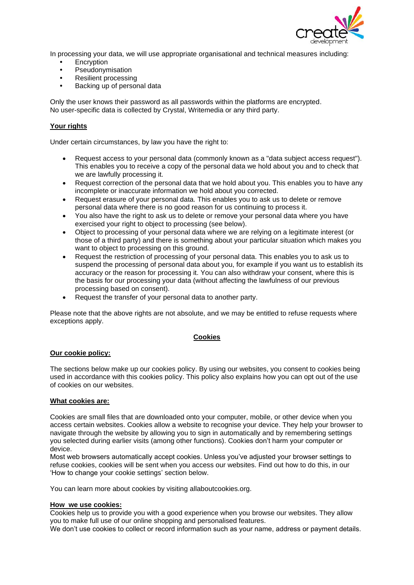

In processing your data, we will use appropriate organisational and technical measures including:

- **•** Encryption
- **•** Pseudonymisation
- **•** Resilient processing
- **•** Backing up of personal data

Only the user knows their password as all passwords within the platforms are encrypted. No user-specific data is collected by Crystal, Writemedia or any third party.

# **Your rights**

Under certain circumstances, by law you have the right to:

- Request access to your personal data (commonly known as a "data subject access request"). This enables you to receive a copy of the personal data we hold about you and to check that we are lawfully processing it.
- Request correction of the personal data that we hold about you. This enables you to have any incomplete or inaccurate information we hold about you corrected.
- Request erasure of your personal data. This enables you to ask us to delete or remove personal data where there is no good reason for us continuing to process it.
- You also have the right to ask us to delete or remove your personal data where you have exercised your right to object to processing (see below).
- Object to processing of your personal data where we are relying on a legitimate interest (or those of a third party) and there is something about your particular situation which makes you want to object to processing on this ground.
- Request the restriction of processing of your personal data. This enables you to ask us to suspend the processing of personal data about you, for example if you want us to establish its accuracy or the reason for processing it. You can also withdraw your consent, where this is the basis for our processing your data (without affecting the lawfulness of our previous processing based on consent).
- Request the transfer of your personal data to another party.

Please note that the above rights are not absolute, and we may be entitled to refuse requests where exceptions apply.

# **Cookies**

# **Our cookie policy:**

The sections below make up our cookies policy. By using our websites, you consent to cookies being used in accordance with this cookies policy. This policy also explains how you can opt out of the use of cookies on our websites.

# **What cookies are:**

Cookies are small files that are downloaded onto your computer, mobile, or other device when you access certain websites. Cookies allow a website to recognise your device. They help your browser to navigate through the website by allowing you to sign in automatically and by remembering settings you selected during earlier visits (among other functions). Cookies don't harm your computer or device.

Most web browsers automatically accept cookies. Unless you've adjusted your browser settings to refuse cookies, cookies will be sent when you access our websites. Find out how to do this, in our 'How to change your cookie settings' section below.

You can learn more about cookies by visiting [allaboutcookies.org.](http://www.allaboutcookies.org/)

#### **How we use cookies:**

Cookies help us to provide you with a good experience when you browse our websites. They allow you to make full use of our online shopping and personalised features.

We don't use cookies to collect or record information such as your name, address or payment details.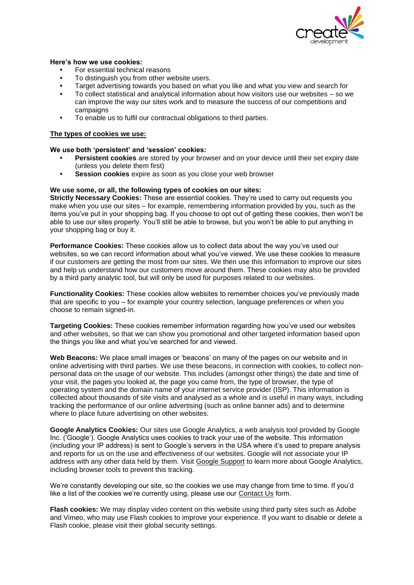

### **Here's how we use cookies:**

- **•** For essential technical reasons
- **•** To distinguish you from other website users.
- **•** Target advertising towards you based on what you like and what you view and search for
- **•** To collect statistical and analytical information about how visitors use our websites so we can improve the way our sites work and to measure the success of our competitions and campaigns
- **•** To enable us to fulfil our contractual obligations to third parties.

#### **The types of cookies we use:**

### **We use both 'persistent' and 'session' cookies:**

- **• Persistent cookies** are stored by your browser and on your device until their set expiry date (unless you delete them first)
- **• Session cookies** expire as soon as you close your web browser

### **We use some, or all, the following types of cookies on our sites:**

**Strictly Necessary Cookies:** These are essential cookies. They're used to carry out requests you make when you use our sites – for example, remembering information provided by you, such as the items you've put in your shopping bag. If you choose to opt out of getting these cookies, then won't be able to use our sites properly. You'll still be able to browse, but you won't be able to put anything in your shopping bag or buy it.

**Performance Cookies:** These cookies allow us to collect data about the way you've used our websites, so we can record information about what you've viewed. We use these cookies to measure if our customers are getting the most from our sites. We then use this information to improve our sites and help us understand how our customers move around them. These cookies may also be provided by a third party analytic tool, but will only be used for purposes related to our websites.

**Functionality Cookies:** These cookies allow websites to remember choices you've previously made that are specific to you – for example your country selection, language preferences or when you choose to remain signed-in.

**Targeting Cookies:** These cookies remember information regarding how you've used our websites and other websites, so that we can show you promotional and other targeted information based upon the things you like and what you've searched for and viewed.

**Web Beacons:** We place small images or 'beacons' on many of the pages on our website and in online advertising with third parties. We use these beacons, in connection with cookies, to collect nonpersonal data on the usage of our website. This includes (amongst other things) the date and time of your visit, the pages you looked at, the page you came from, the type of browser, the type of operating system and the domain name of your internet service provider (ISP). This information is collected about thousands of site visits and analysed as a whole and is useful in many ways, including tracking the performance of our online advertising (such as online banner ads) and to determine where to place future advertising on other websites.

**Google Analytics Cookies:** Our sites use Google Analytics, a web analysis tool provided by Google Inc. ('Google'). Google Analytics uses cookies to track your use of the website. This information (including your IP address) is sent to Google's servers in the USA where it's used to prepare analysis and reports for us on the use and effectiveness of our websites. Google will not associate your IP address with any other data held by them. Visit [Google Support](https://support.google.com/analytics/answer/181881?hl=en) to learn more about Google Analytics, including browser tools to prevent this tracking.

We're constantly developing our site, so the cookies we use may change from time to time. If you'd like a list of the cookies we're currently using, please use our [Contact Us](https://www.createdevelopment.co.uk/contact/) form.

**Flash cookies:** We may display video content on this website using third party sites such as Adobe and Vimeo, who may use Flash cookies to improve your experience. If you want to disable or delete a Flash cookie, please visit their [global security settings.](https://www.macromedia.com/support/documentation/en/flashplayer/help/settings_manager04.html#117502)